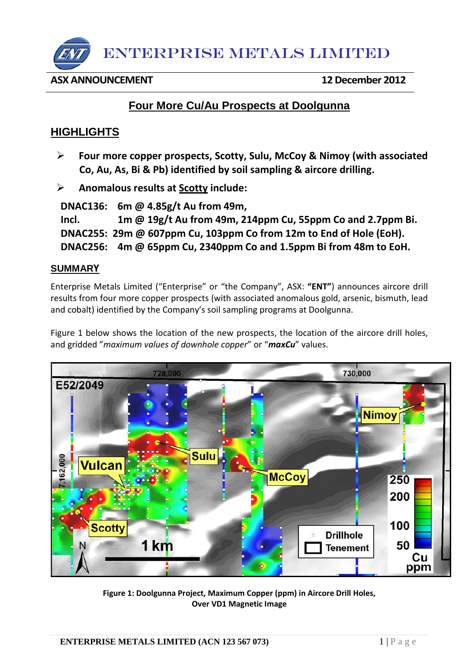

## **ASX ANNOUNCEMENT 12 December 2012**

# **Four More Cu/Au Prospects at Doolgunna**

# **HIGHLIGHTS**

- **Four more copper prospects, Scotty, Sulu, McCoy & Nimoy (with associated Co, Au, As, Bi & Pb) identified by soil sampling & aircore drilling.**
- **Anomalous results at Scotty include:**

 **DNAC136: 6m @ 4.85g/t Au from 49m, Incl. 1m @ 19g/t Au from 49m, 214ppm Cu, 55ppm Co and 2.7ppm Bi. DNAC255: 29m @ 607ppm Cu, 103ppm Co from 12m to End of Hole (EoH). DNAC256: 4m @ 65ppm Cu, 2340ppm Co and 1.5ppm Bi from 48m to EoH.**

# **SUMMARY**

Enterprise Metals Limited ("Enterprise" or "the Company", ASX: **"ENT"**) announces aircore drill results from four more copper prospects (with associated anomalous gold, arsenic, bismuth, lead and cobalt) identified by the Company's soil sampling programs at Doolgunna.

Figure 1 below shows the location of the new prospects, the location of the aircore drill holes, and gridded "*maximum values of downhole copper*" or "*maxCu*" values.



**Figure 1: Doolgunna Project, Maximum Copper (ppm) in Aircore Drill Holes, Over VD1 Magnetic Image**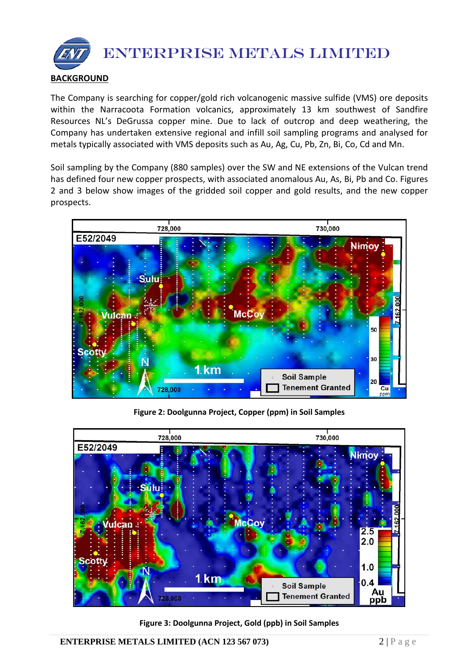

The Company is searching for copper/gold rich volcanogenic massive sulfide (VMS) ore deposits within the Narracoota Formation volcanics, approximately 13 km southwest of Sandfire Resources NL's DeGrussa copper mine. Due to lack of outcrop and deep weathering, the Company has undertaken extensive regional and infill soil sampling programs and analysed for metals typically associated with VMS deposits such as Au, Ag, [Cu,](http://en.wikipedia.org/wiki/Copper) Pb, Zn, [Bi,](http://en.wikipedia.org/wiki/Barium) Co, Cd and Mn.

Soil sampling by the Company (880 samples) over the SW and NE extensions of the Vulcan trend has defined four new copper prospects, with associated anomalous Au, As, Bi, Pb and Co. Figures 2 and 3 below show images of the gridded soil copper and gold results, and the new copper prospects.



**Figure 2: Doolgunna Project, Copper (ppm) in Soil Samples**



**Figure 3: Doolgunna Project, Gold (ppb) in Soil Samples**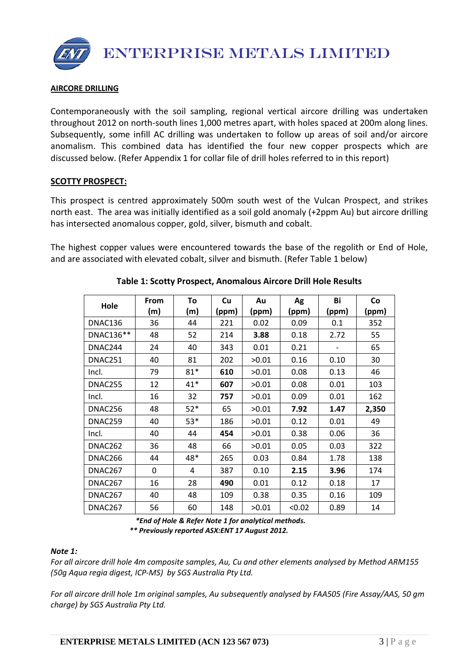ENTERPRISE METALS LIMITED

### **AIRCORE DRILLING**

Contemporaneously with the soil sampling, regional vertical aircore drilling was undertaken throughout 2012 on north-south lines 1,000 metres apart, with holes spaced at 200m along lines. Subsequently, some infill AC drilling was undertaken to follow up areas of soil and/or aircore anomalism. This combined data has identified the four new copper prospects which are discussed below. (Refer Appendix 1 for collar file of drill holes referred to in this report)

### **SCOTTY PROSPECT:**

This prospect is centred approximately 500m south west of the Vulcan Prospect, and strikes north east. The area was initially identified as a soil gold anomaly (+2ppm Au) but aircore drilling has intersected anomalous copper, gold, silver, bismuth and cobalt.

The highest copper values were encountered towards the base of the regolith or End of Hole, and are associated with elevated cobalt, silver and bismuth. (Refer Table 1 below)

|           | From | To    | Cu    | Au    | Ag     | Bi    | Co    |
|-----------|------|-------|-------|-------|--------|-------|-------|
| Hole      | (m)  | (m)   | (ppm) | (ppm) | (ppm)  | (ppm) | (ppm) |
| DNAC136   | 36   | 44    | 221   | 0.02  | 0.09   | 0.1   | 352   |
| DNAC136** | 48   | 52    | 214   | 3.88  | 0.18   | 2.72  | 55    |
| DNAC244   | 24   | 40    | 343   | 0.01  | 0.21   |       | 65    |
| DNAC251   | 40   | 81    | 202   | >0.01 | 0.16   | 0.10  | 30    |
| Incl.     | 79   | $81*$ | 610   | >0.01 | 0.08   | 0.13  | 46    |
| DNAC255   | 12   | $41*$ | 607   | >0.01 | 0.08   | 0.01  | 103   |
| Incl.     | 16   | 32    | 757   | >0.01 | 0.09   | 0.01  | 162   |
| DNAC256   | 48   | $52*$ | 65    | >0.01 | 7.92   | 1.47  | 2,350 |
| DNAC259   | 40   | $53*$ | 186   | >0.01 | 0.12   | 0.01  | 49    |
| Incl.     | 40   | 44    | 454   | >0.01 | 0.38   | 0.06  | 36    |
| DNAC262   | 36   | 48    | 66    | >0.01 | 0.05   | 0.03  | 322   |
| DNAC266   | 44   | 48*   | 265   | 0.03  | 0.84   | 1.78  | 138   |
| DNAC267   | 0    | 4     | 387   | 0.10  | 2.15   | 3.96  | 174   |
| DNAC267   | 16   | 28    | 490   | 0.01  | 0.12   | 0.18  | 17    |
| DNAC267   | 40   | 48    | 109   | 0.38  | 0.35   | 0.16  | 109   |
| DNAC267   | 56   | 60    | 148   | >0.01 | < 0.02 | 0.89  | 14    |

# **Table 1: Scotty Prospect, Anomalous Aircore Drill Hole Results**

 *\*End of Hole & Refer Note 1 for analytical methods. \*\* Previously reported ASX:ENT 17 August 2012.*

#### *Note 1:*

*For all aircore drill hole 4m composite samples, Au, Cu and other elements analysed by Method ARM155 (50g Aqua regia digest, ICP-MS) by SGS Australia Pty Ltd.*

*For all aircore drill hole 1m original samples, Au subsequently analysed by FAA505 (Fire Assay/AAS, 50 gm charge) by SGS Australia Pty Ltd.*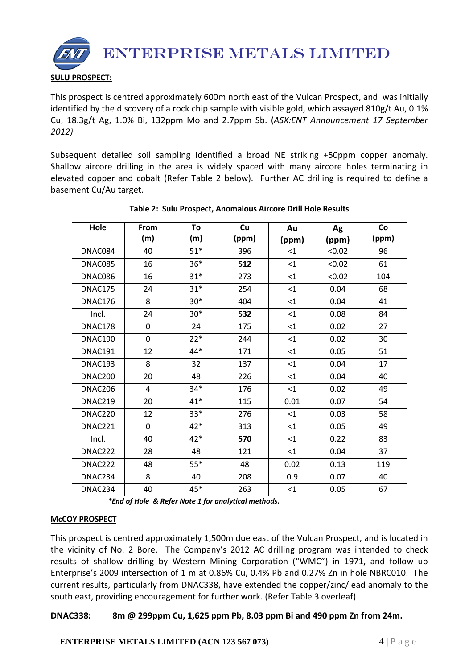

This prospect is centred approximately 600m north east of the Vulcan Prospect, and was initially identified by the discovery of a rock chip sample with visible gold, which assayed 810g/t Au, 0.1% Cu, 18.3g/t Ag, 1.0% Bi, 132ppm Mo and 2.7ppm Sb. (*ASX:ENT Announcement 17 September 2012)*

Subsequent detailed soil sampling identified a broad NE striking +50ppm copper anomaly. Shallow aircore drilling in the area is widely spaced with many aircore holes terminating in elevated copper and cobalt (Refer Table 2 below). Further AC drilling is required to define a basement Cu/Au target.

| Hole    | From        | To    | Cu    | Au       | Ag     | Co    |
|---------|-------------|-------|-------|----------|--------|-------|
|         | (m)         | (m)   | (ppm) | (ppm)    | (ppm)  | (ppm) |
| DNAC084 | 40          | $51*$ | 396   | $<$ 1    | < 0.02 | 96    |
| DNAC085 | 16          | $36*$ | 512   | $\leq$ 1 | < 0.02 | 61    |
| DNAC086 | 16          | $31*$ | 273   | $\leq$ 1 | < 0.02 | 104   |
| DNAC175 | 24          | $31*$ | 254   | $\leq$ 1 | 0.04   | 68    |
| DNAC176 | 8           | $30*$ | 404   | $\leq 1$ | 0.04   | 41    |
| Incl.   | 24          | $30*$ | 532   | $\leq$ 1 | 0.08   | 84    |
| DNAC178 | 0           | 24    | 175   | $\leq$ 1 | 0.02   | 27    |
| DNAC190 | $\mathbf 0$ | $22*$ | 244   | $\leq$ 1 | 0.02   | 30    |
| DNAC191 | 12          | 44*   | 171   | $\leq 1$ | 0.05   | 51    |
| DNAC193 | 8           | 32    | 137   | $<$ 1    | 0.04   | 17    |
| DNAC200 | 20          | 48    | 226   | $<$ 1    | 0.04   | 40    |
| DNAC206 | 4           | $34*$ | 176   | $<$ 1    | 0.02   | 49    |
| DNAC219 | 20          | $41*$ | 115   | 0.01     | 0.07   | 54    |
| DNAC220 | 12          | $33*$ | 276   | $\leq 1$ | 0.03   | 58    |
| DNAC221 | $\mathbf 0$ | 42*   | 313   | $<$ 1    | 0.05   | 49    |
| Incl.   | 40          | 42*   | 570   | $<$ 1    | 0.22   | 83    |
| DNAC222 | 28          | 48    | 121   | $\leq$ 1 | 0.04   | 37    |
| DNAC222 | 48          | $55*$ | 48    | 0.02     | 0.13   | 119   |
| DNAC234 | 8           | 40    | 208   | 0.9      | 0.07   | 40    |
| DNAC234 | 40          | $45*$ | 263   | <1       | 0.05   | 67    |

# **Table 2: Sulu Prospect, Anomalous Aircore Drill Hole Results**

*\*End of Hole & Refer Note 1 for analytical methods.*

# **McCOY PROSPECT**

This prospect is centred approximately 1,500m due east of the Vulcan Prospect, and is located in the vicinity of No. 2 Bore. The Company's 2012 AC drilling program was intended to check results of shallow drilling by Western Mining Corporation ("WMC") in 1971, and follow up Enterprise's 2009 intersection of 1 m at 0.86% Cu, 0.4% Pb and 0.27% Zn in hole NBRC010. The current results, particularly from DNAC338, have extended the copper/zinc/lead anomaly to the south east, providing encouragement for further work. (Refer Table 3 overleaf)

# **DNAC338: 8m @ 299ppm Cu, 1,625 ppm Pb, 8.03 ppm Bi and 490 ppm Zn from 24m.**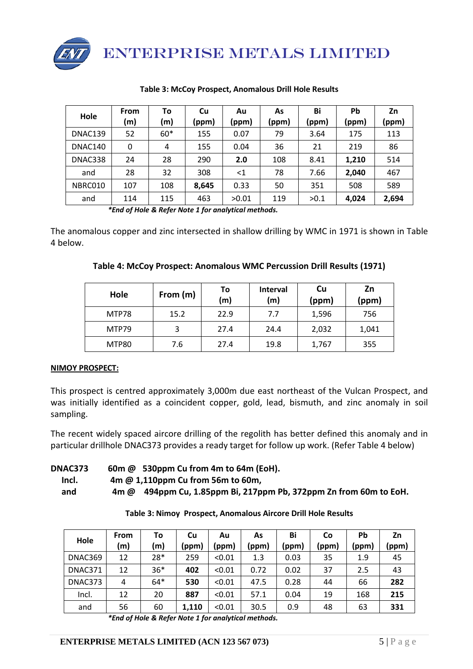

| Hole    | From<br>(m) | To<br>(m) | Cu<br>(ppm) | Au<br>(ppm) | As<br>(ppm) | Bi<br>(ppm) | Pb<br>(ppm) | Zn<br>(ppm) |
|---------|-------------|-----------|-------------|-------------|-------------|-------------|-------------|-------------|
| DNAC139 | 52          | $60*$     | 155         | 0.07        | 79          | 3.64        | 175         | 113         |
| DNAC140 | 0           | 4         | 155         | 0.04        | 36          | 21          | 219         | 86          |
| DNAC338 | 24          | 28        | 290         | 2.0         | 108         | 8.41        | 1,210       | 514         |
| and     | 28          | 32        | 308         | $<$ 1       | 78          | 7.66        | 2,040       | 467         |
| NBRC010 | 107         | 108       | 8,645       | 0.33        | 50          | 351         | 508         | 589         |
| and     | 114         | 115       | 463         | >0.01       | 119         | >0.1        | 4,024       | 2,694       |

#### **Table 3: McCoy Prospect, Anomalous Drill Hole Results**

*\*End of Hole & Refer Note 1 for analytical methods.*

The anomalous copper and zinc intersected in shallow drilling by WMC in 1971 is shown in Table 4 below.

| Hole         | From (m) | To<br>(m) | <b>Interval</b><br>(m) | Cu<br>(ppm) | Zn<br>(ppm) |
|--------------|----------|-----------|------------------------|-------------|-------------|
| MTP78        | 15.2     | 22.9      | 7.7                    | 1,596       | 756         |
| MTP79        | 3        | 27.4      | 24.4                   | 2,032       | 1,041       |
| <b>MTP80</b> | 7.6      | 27.4      | 19.8                   | 1,767       | 355         |

### **NIMOY PROSPECT:**

This prospect is centred approximately 3,000m due east northeast of the Vulcan Prospect, and was initially identified as a coincident copper, gold, lead, bismuth, and zinc anomaly in soil sampling.

The recent widely spaced aircore drilling of the regolith has better defined this anomaly and in particular drillhole DNAC373 provides a ready target for follow up work. (Refer Table 4 below)

### **DNAC373 60m @ 530ppm Cu from 4m to 64m (EoH). Incl. 4m @ 1,110ppm Cu from 56m to 60m, and 4m @ 494ppm Cu, 1.85ppm Bi, 217ppm Pb, 372ppm Zn from 60m to EoH.**

**Table 3: Nimoy Prospect, Anomalous Aircore Drill Hole Results**

| Hole    | <b>From</b><br>(m) | To<br>(m) | Cu<br>(ppm) | Au<br>(ppm) | As<br>(ppm) | Bi<br>(ppm) | <b>Co</b><br>(ppm) | Pb<br>(ppm | Zn<br>(ppm) |
|---------|--------------------|-----------|-------------|-------------|-------------|-------------|--------------------|------------|-------------|
| DNAC369 | 12                 | $28*$     | 259         | < 0.01      | 1.3         | 0.03        | 35                 | 1.9        | 45          |
| DNAC371 | 12                 | $36*$     | 402         | < 0.01      | 0.72        | 0.02        | 37                 | 2.5        | 43          |
| DNAC373 | 4                  | $64*$     | 530         | < 0.01      | 47.5        | 0.28        | 44                 | 66         | 282         |
| Incl.   | 12                 | 20        | 887         | < 0.01      | 57.1        | 0.04        | 19                 | 168        | 215         |
| and     | 56                 | 60        | 1,110       | < 0.01      | 30.5        | 0.9         | 48                 | 63         | 331         |

*<sup>\*</sup>End of Hole & Refer Note 1 for analytical methods.*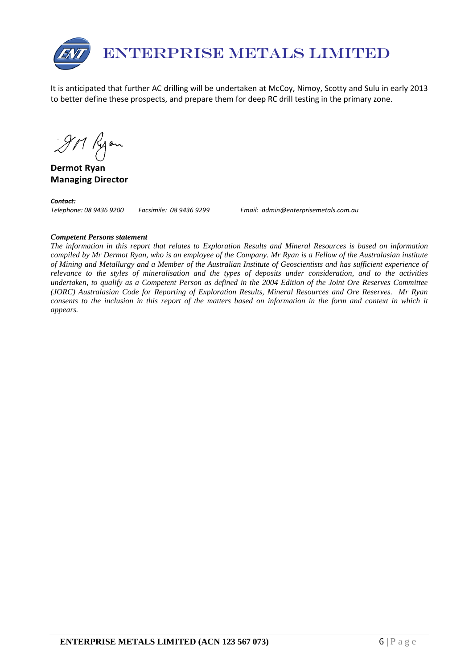

It is anticipated that further AC drilling will be undertaken at McCoy, Nimoy, Scotty and Sulu in early 2013 to better define these prospects, and prepare them for deep RC drill testing in the primary zone.

911 Ryon

**Dermot Ryan Managing Director**

*Contact:* 

*Telephone: 08 9436 9200 Facsimile: 08 9436 9299 Email: admin@enterprisemetals.com.au*

#### *Competent Persons statement*

*The information in this report that relates to Exploration Results and Mineral Resources is based on information compiled by Mr Dermot Ryan, who is an employee of the Company. Mr Ryan is a Fellow of the Australasian institute of Mining and Metallurgy and a Member of the Australian Institute of Geoscientists and has sufficient experience of relevance to the styles of mineralisation and the types of deposits under consideration, and to the activities undertaken, to qualify as a Competent Person as defined in the 2004 Edition of the Joint Ore Reserves Committee (JORC) Australasian Code for Reporting of Exploration Results, Mineral Resources and Ore Reserves. Mr Ryan consents to the inclusion in this report of the matters based on information in the form and context in which it appears.*